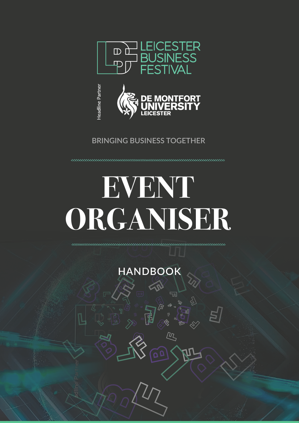



# **BRINGING BUSINESS TOGETHER**

# **EVENT ORGANISER**

**HANDBOOK**

 $\nabla$ 

 $\overline{\mu}$ 

 $\mathbf{Q}$ 

00000000000000000000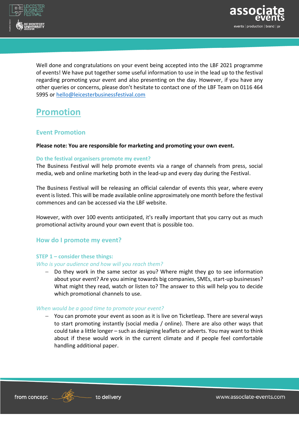



Well done and congratulations on your event being accepted into the LBF 2021 programme of events! We have put together some useful information to use in the lead up to the festival regarding promoting your event and also presenting on the day. However, if you have any other queries or concerns, please don't hesitate to contact one of the LBF Team on 0116 464 5995 or [hello@leicesterbusinessfestival.com](mailto:hello@leicesterbusinessfestival.com)

# **Promotion**

# **Event Promotion**

#### **Please note: You are responsible for marketing and promoting your own event.**

#### **Do the festival organisers promote my event?**

The Business Festival will help promote events via a range of channels from press, social media, web and online marketing both in the lead-up and every day during the Festival.

The Business Festival will be releasing an official calendar of events this year, where every event is listed. This will be made available online approximately one month before the festival commences and can be accessed via the LBF website.

However, with over 100 events anticipated, it's really important that you carry out as much promotional activity around your own event that is possible too.

### **How do I promote my event?**

#### **STEP 1 – consider these things:**

#### *Who is your audience and how will you reach them?*

− Do they work in the same sector as you? Where might they go to see information about your event? Are you aiming towards big companies, SMEs, start-up businesses? What might they read, watch or listen to? The answer to this will help you to decide which promotional channels to use.

#### *When would be a good time to promote your event?*

− You can promote your event as soon as it is live on Ticketleap. There are several ways to start promoting instantly (social media / online). There are also other ways that could take a little longer – such as designing leaflets or adverts. You may want to think about if these would work in the current climate and if people feel comfortable handling additional paper.



www.associate-events.com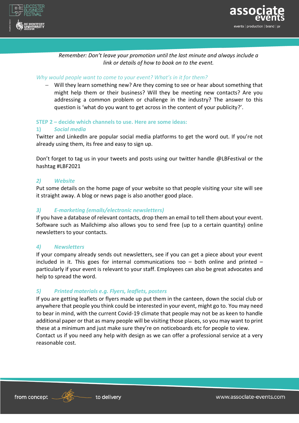



*Remember: Don't leave your promotion until the last minute and always include a link or details of how to book on to the event.*

#### *Why would people want to come to your event? What's in it for them?*

− Will they learn something new? Are they coming to see or hear about something that might help them or their business? Will they be meeting new contacts? Are you addressing a common problem or challenge in the industry? The answer to this question is 'what do you want to get across in the content of your publicity?'.

#### **STEP 2 – decide which channels to use. Here are some ideas:**

#### **1)** *Social media*

Twitter and LinkedIn are popular social media platforms to get the word out. If you're not already using them, its free and easy to sign up.

Don't forget to tag us in your tweets and posts using our twitter handle @LBFestival or the hashtag #LBF2021

#### *2) Website*

Put some details on the home page of your website so that people visiting your site will see it straight away. A blog or news page is also another good place.

#### *3) E-marketing (emails/electronic newsletters)*

If you have a database of relevant contacts, drop them an email to tell them about your event. Software such as Mailchimp also allows you to send free (up to a certain quantity) online newsletters to your contacts.

### *4) Newsletters*

If your company already sends out newsletters, see if you can get a piece about your event included in it. This goes for internal communications too  $-$  both online and printed  $$ particularly if your event is relevant to your staff. Employees can also be great advocates and help to spread the word.

### *5) Printed materials e.g. Flyers, leaflets, posters*

If you are getting leaflets or flyers made up put them in the canteen, down the social club or anywhere that people you think could be interested in your event, might go to. You may need to bear in mind, with the current Covid-19 climate that people may not be as keen to handle additional paper or that as many people will be visiting those places, so you may want to print these at a minimum and just make sure they're on noticeboards etc for people to view. Contact us if you need any help with design as we can offer a professional service at a very reasonable cost.



www.associate-events.com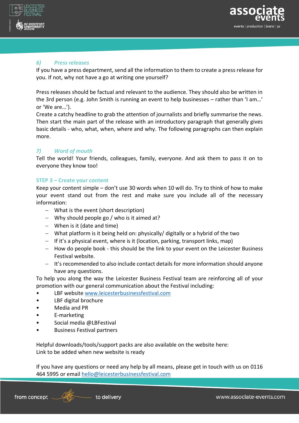



## *6) Press releases*

If you have a press department, send all the information to them to create a press release for you. If not, why not have a go at writing one yourself?

Press releases should be factual and relevant to the audience. They should also be written in the 3rd person (e.g. John Smith is running an event to help businesses – rather than 'I am…' or 'We are…').

Create a catchy headline to grab the attention of journalists and briefly summarise the news. Then start the main part of the release with an introductory paragraph that generally gives basic details - who, what, when, where and why. The following paragraphs can then explain more.

### *7) Word of mouth*

Tell the world! Your friends, colleagues, family, everyone. And ask them to pass it on to everyone they know too!

#### **STEP 3 – Create your content**

Keep your content simple – don't use 30 words when 10 will do. Try to think of how to make your event stand out from the rest and make sure you include all of the necessary information:

- − What is the event (short description)
- − Why should people go / who is it aimed at?
- − When is it (date and time)
- − What platform is it being held on: physically/ digitally or a hybrid of the two
- − If it's a physical event, where is it (location, parking, transport links, map)
- − How do people book this should be the link to your event on the Leicester Business Festival website.
- − It's recommended to also include contact details for more information should anyone have any questions.

To help you along the way the Leicester Business Festival team are reinforcing all of your promotion with our general communication about the Festival including:

- LBF website [www.leicesterbusinessfestival.com](http://www.leicesterbusinessfestival.com/)
- LBF digital brochure
- Media and PR
- E-marketing
- Social media @LBFestival
- Business Festival partners

Helpful downloads/tools/support packs are also available on the website here: Link to be added when new website is ready

If you have any questions or need any help by all means, please get in touch with us on 0116 464 5995 or email [hello@leicesterbusinessfestival.com](mailto:hello@leicesterbusinessfestival.com)

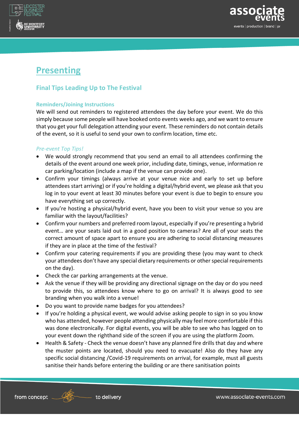

# **Final Tips Leading Up to The Festival**

# **Reminders/Joining Instructions**

We will send out reminders to registered attendees the day before your event. We do this simply because some people will have booked onto events weeks ago, and we want to ensure that you get your full delegation attending your event. These reminders do not contain details of the event, so it is useful to send your own to confirm location, time etc.

# *Pre-event Top Tips!*

- We would strongly recommend that you send an email to all attendees confirming the details of the event around one week prior, including date, timings, venue, information re car parking/location (include a map if the venue can provide one).
- Confirm your timings (always arrive at your venue nice and early to set up before attendees start arriving) or if you're holding a digital/hybrid event, we please ask that you log in to your event at least 30 minutes before your event is due to begin to ensure you have everything set up correctly.
- If you're hosting a physical/hybrid event, have you been to visit your venue so you are familiar with the layout/facilities?
- Confirm your numbers and preferred room layout, especially if you're presenting a hybrid event… are your seats laid out in a good position to cameras? Are all of your seats the correct amount of space apart to ensure you are adhering to social distancing measures if they are in place at the time of the festival?
- Confirm your catering requirements if you are providing these (you may want to check your attendees don't have any special dietary requirements or other special requirements on the day).
- Check the car parking arrangements at the venue.
- Ask the venue if they will be providing any directional signage on the day or do you need to provide this, so attendees know where to go on arrival? It is always good to see branding when you walk into a venue!
- Do you want to provide name badges for you attendees?
- If you're holding a physical event, we would advise asking people to sign in so you know who has attended, however people attending physically may feel more comfortable if this was done electronically. For digital events, you will be able to see who has logged on to your event down the righthand side of the screen if you are using the platform Zoom.
- Health & Safety Check the venue doesn't have any planned fire drills that day and where the muster points are located, should you need to evacuate! Also do they have any specific social distancing /Covid-19 requirements on arrival, for example, must all guests sanitise their hands before entering the building or are there sanitisation points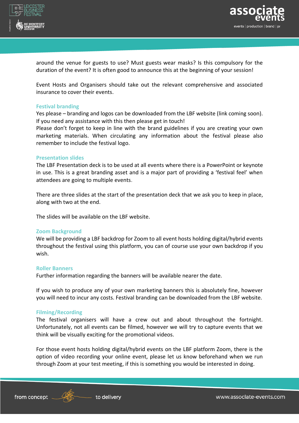



around the venue for guests to use? Must guests wear masks? Is this compulsory for the duration of the event? It is often good to announce this at the beginning of your session!

Event Hosts and Organisers should take out the relevant comprehensive and associated insurance to cover their events.

#### **Festival branding**

Yes please – branding and logos can be downloaded from the LBF website (link coming soon). If you need any assistance with this then please get in touch!

Please don't forget to keep in line with the brand guidelines if you are creating your own marketing materials. When circulating any information about the festival please also remember to include the festival logo.

#### **Presentation slides**

The LBF Presentation deck is to be used at all events where there is a PowerPoint or keynote in use. This is a great branding asset and is a major part of providing a 'festival feel' when attendees are going to multiple events.

There are three slides at the start of the presentation deck that we ask you to keep in place, along with two at the end.

The slides will be available on the LBF website.

#### **Zoom Background**

We will be providing a LBF backdrop for Zoom to all event hosts holding digital/hybrid events throughout the festival using this platform, you can of course use your own backdrop if you wish.

#### **Roller Banners**

Further information regarding the banners will be available nearer the date.

If you wish to produce any of your own marketing banners this is absolutely fine, however you will need to incur any costs. Festival branding can be downloaded from the LBF website.

#### **Filming/Recording**

The festival organisers will have a crew out and about throughout the fortnight. Unfortunately, not all events can be filmed, however we will try to capture events that we think will be visually exciting for the promotional videos.

For those event hosts holding digital/hybrid events on the LBF platform Zoom, there is the option of video recording your online event, please let us know beforehand when we run through Zoom at your test meeting, if this is something you would be interested in doing.



5